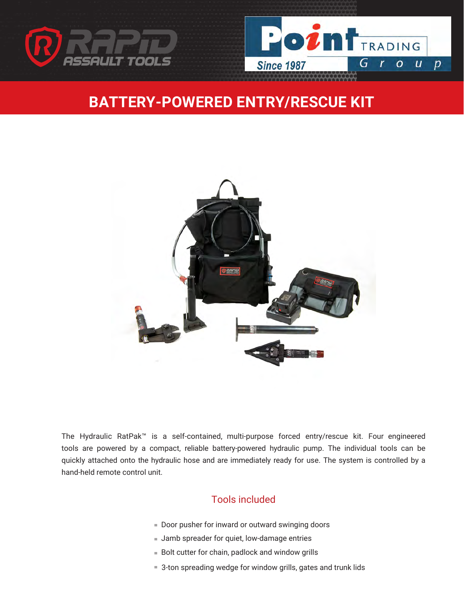



## **BATTERY-POWERED ENTRY/RESCUE KIT**



The Hydraulic RatPak™ is a self-contained, multi-purpose forced entry/rescue kit. Four engineered tools are powered by a compact, reliable battery-powered hydraulic pump. The individual tools can be quickly attached onto the hydraulic hose and are immediately ready for use. The system is controlled by a hand-held remote control unit.

#### Tools included

- Door pusher for inward or outward swinging doors
- **Jamb spreader for quiet, low-damage entries**
- **Bolt cutter for chain, padlock and window grills**
- 3-ton spreading wedge for window grills, gates and trunk lids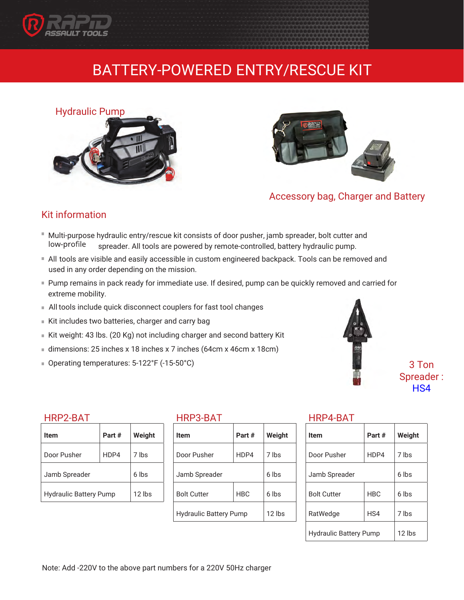

## BATTERY-POWERED ENTRY/RESCUE KIT





Accessory bag, Charger and Battery

#### Kit information

- Multi-purpose hydraulic entry/rescue kit consists of door pusher, jamb spreader, bolt cutter and low-profile spreader. All tools are powered by remote-controlled, battery hydraulic pump.
- All tools are visible and easily accessible in custom engineered backpack. Tools can be removed and used in any order depending on the mission.
- Pump remains in pack ready for immediate use. If desired, pump can be quickly removed and carried for extreme mobility.
- All tools include quick disconnect couplers for fast tool changes
- Kit includes two batteries, charger and carry bag
- Kit weight: 43 lbs. (20 Kg) not including charger and second battery Kit
- dimensions: 25 inches x 18 inches x 7 inches (64cm x 46cm x 18cm)
- Operating temperatures: 5-122°F (-15-50°C)



3 Ton Spread[er :](http://ratools.com/product/ratwedge/)  HS4

#### HRP2-BAT

| Item                          | Part# | Weight   |
|-------------------------------|-------|----------|
| Door Pusher                   | HDP4  | 7 lbs    |
| Jamb Spreader                 |       | 6 lbs    |
| <b>Hydraulic Battery Pump</b> |       | $12$ lbs |

#### HRP3-BAT

| ltem                          | Part #     | Weight   |
|-------------------------------|------------|----------|
| Door Pusher                   | HDP4       | 7 lbs    |
| Jamb Spreader                 |            | 6 lbs    |
| <b>Bolt Cutter</b>            | <b>HBC</b> | 6 lbs    |
| <b>Hydraulic Battery Pump</b> |            | $12$ lbs |

#### HRP4-BAT

| Item                          | Part#      | Weight |
|-------------------------------|------------|--------|
| Door Pusher                   | HDP4       | 7 lbs  |
| Jamb Spreader                 |            | 6 lbs  |
| <b>Bolt Cutter</b>            | <b>HBC</b> | 6 lbs  |
| RatWedge                      | HS4        | 7 lbs  |
| <b>Hydraulic Battery Pump</b> |            | 12 lbs |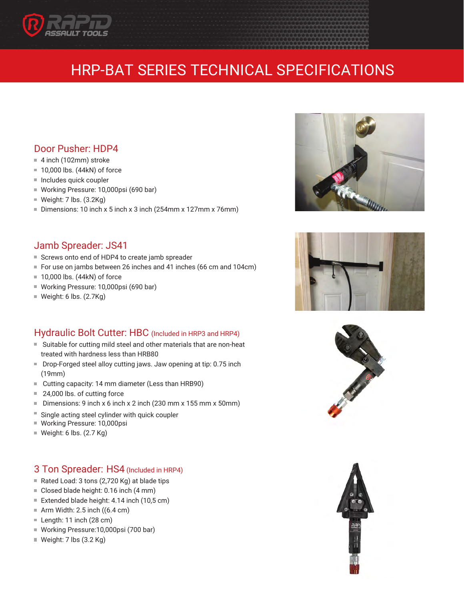

# HRP-BAT SERIES TECHNICAL SPECIFICATIONS

#### Door Pusher: HDP4

- 4 inch (102mm) stroke
- 10,000 lbs. (44kN) of force
- $\blacksquare$  Includes quick coupler
- Working Pressure: 10,000psi (690 bar)
- $W$ eight: 7 lbs. (3.2Kg)
- Dimensions: 10 inch x 5 inch x 3 inch (254mm x 127mm x 76mm)

#### Jamb Spreader: JS41

- Screws onto end of HDP4 to create jamb spreader
- For use on jambs between 26 inches and 41 inches (66 cm and 104cm)
- 10,000 lbs. (44kN) of force
- Working Pressure: 10,000psi (690 bar)
- $W$ eight: 6 lbs. (2.7Kg)

#### Hydraulic Bolt Cutter: HBC (Included in HRP3 and HRP4)

- Suitable for cutting mild steel and other materials that are non-heat treated with hardness less than HRB80
- Drop-Forged steel alloy cutting jaws. Jaw opening at tip: 0.75 inch (19mm)
- Cutting capacity: 14 mm diameter (Less than HRB90)
- 24,000 lbs. of cutting force
- Dimensions: 9 inch x 6 inch x 2 inch (230 mm x 155 mm x 50mm)
- E Single acting steel cylinder with quick coupler
- Working Pressure: 10,000psi
- $W$ eight: 6 lbs. (2.7 Kg)

#### 3 Ton Spreader: HS4 (Included in HRP4)

- Rated Load: 3 tons (2,720 Kg) at blade tips
- Closed blade height: 0.16 inch (4 mm)
- Extended blade height: 4.14 inch (10,5 cm)
- $\blacksquare$  Arm Width: 2.5 inch ((6.4 cm)
- Length: 11 inch (28 cm)
- Working Pressure:10,000psi (700 bar)
- $\blacksquare$  Weight: 7 lbs (3.2 Kg)